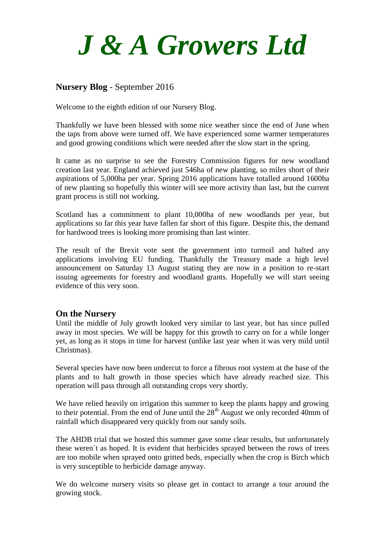

## **Nursery Blog** - September 2016

Welcome to the eighth edition of our Nursery Blog.

Thankfully we have been blessed with some nice weather since the end of June when the taps from above were turned off. We have experienced some warmer temperatures and good growing conditions which were needed after the slow start in the spring.

It came as no surprise to see the Forestry Commission figures for new woodland creation last year. England achieved just 546ha of new planting, so miles short of their aspirations of 5,000ha per year. Spring 2016 applications have totalled around 1600ha of new planting so hopefully this winter will see more activity than last, but the current grant process is still not working.

Scotland has a commitment to plant 10,000ha of new woodlands per year, but applications so far this year have fallen far short of this figure. Despite this, the demand for hardwood trees is looking more promising than last winter.

The result of the Brexit vote sent the government into turmoil and halted any applications involving EU funding. Thankfully the Treasury made a high level announcement on Saturday 13 August stating they are now in a position to re-start issuing agreements for forestry and woodland grants. Hopefully we will start seeing evidence of this very soon.

#### **On the Nursery**

Until the middle of July growth looked very similar to last year, but has since pulled away in most species. We will be happy for this growth to carry on for a while longer yet, as long as it stops in time for harvest (unlike last year when it was very mild until Christmas).

Several species have now been undercut to force a fibrous root system at the base of the plants and to halt growth in those species which have already reached size. This operation will pass through all outstanding crops very shortly.

We have relied heavily on irrigation this summer to keep the plants happy and growing to their potential. From the end of June until the  $28<sup>th</sup>$  August we only recorded 40mm of rainfall which disappeared very quickly from our sandy soils.

The AHDB trial that we hosted this summer gave some clear results, but unfortunately these weren`t as hoped. It is evident that herbicides sprayed between the rows of trees are too mobile when sprayed onto gritted beds, especially when the crop is Birch which is very susceptible to herbicide damage anyway.

We do welcome nursery visits so please get in contact to arrange a tour around the growing stock.